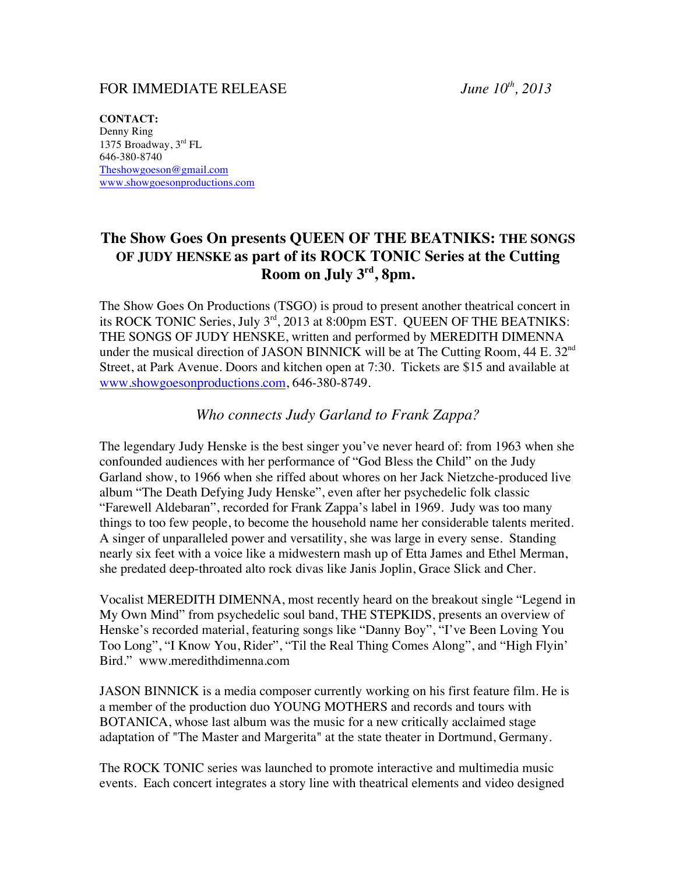## FOR IMMEDIATE RELEASE *June 10th, 2013*

**CONTACT:** Denny Ring 1375 Broadway, 3rd FL 646-380-8740 Theshowgoeson@gmail.com www.showgoesonproductions.com

## **The Show Goes On presents QUEEN OF THE BEATNIKS: THE SONGS OF JUDY HENSKE as part of its ROCK TONIC Series at the Cutting Room on July 3rd, 8pm.**

The Show Goes On Productions (TSGO) is proud to present another theatrical concert in its ROCK TONIC Series, July 3<sup>rd</sup>, 2013 at 8:00pm EST. QUEEN OF THE BEATNIKS: THE SONGS OF JUDY HENSKE, written and performed by MEREDITH DIMENNA under the musical direction of JASON BINNICK will be at The Cutting Room,  $44 E. 32<sup>nd</sup>$ Street, at Park Avenue. Doors and kitchen open at 7:30. Tickets are \$15 and available at www.showgoesonproductions.com, 646-380-8749.

*Who connects Judy Garland to Frank Zappa?*

The legendary Judy Henske is the best singer you've never heard of: from 1963 when she confounded audiences with her performance of "God Bless the Child" on the Judy Garland show, to 1966 when she riffed about whores on her Jack Nietzche-produced live album "The Death Defying Judy Henske", even after her psychedelic folk classic "Farewell Aldebaran", recorded for Frank Zappa's label in 1969. Judy was too many things to too few people, to become the household name her considerable talents merited. A singer of unparalleled power and versatility, she was large in every sense. Standing nearly six feet with a voice like a midwestern mash up of Etta James and Ethel Merman, she predated deep-throated alto rock divas like Janis Joplin, Grace Slick and Cher.

Vocalist MEREDITH DIMENNA, most recently heard on the breakout single "Legend in My Own Mind" from psychedelic soul band, THE STEPKIDS, presents an overview of Henske's recorded material, featuring songs like "Danny Boy", "I've Been Loving You Too Long", "I Know You, Rider", "Til the Real Thing Comes Along", and "High Flyin' Bird." www.meredithdimenna.com

JASON BINNICK is a media composer currently working on his first feature film. He is a member of the production duo YOUNG MOTHERS and records and tours with BOTANICA, whose last album was the music for a new critically acclaimed stage adaptation of "The Master and Margerita" at the state theater in Dortmund, Germany.

The ROCK TONIC series was launched to promote interactive and multimedia music events. Each concert integrates a story line with theatrical elements and video designed